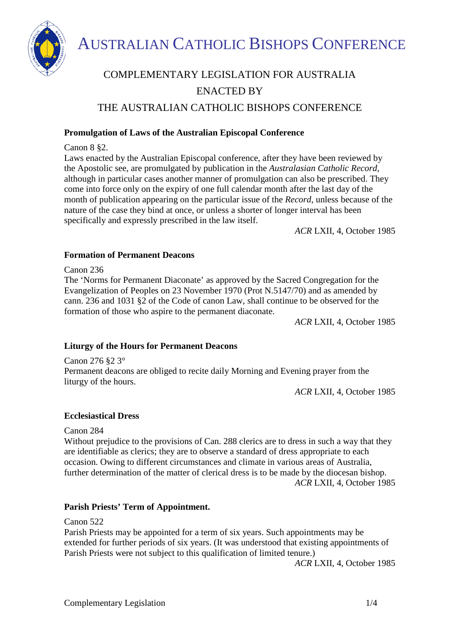

AUSTRALIAN CATHOLIC BISHOPS CONFERENCE

# COMPLEMENTARY LEGISLATION FOR AUSTRALIA ENACTED BY

THE AUSTRALIAN CATHOLIC BISHOPS CONFERENCE

# **Promulgation of Laws of the Australian Episcopal Conference**

Canon 8 §2.

Laws enacted by the Australian Episcopal conference, after they have been reviewed by the Apostolic see, are promulgated by publication in the *Australasian Catholic Record*, although in particular cases another manner of promulgation can also be prescribed. They come into force only on the expiry of one full calendar month after the last day of the month of publication appearing on the particular issue of the *Record*, unless because of the nature of the case they bind at once, or unless a shorter of longer interval has been specifically and expressly prescribed in the law itself.

*ACR* LXII, 4, October 1985

## **Formation of Permanent Deacons**

Canon 236

The 'Norms for Permanent Diaconate' as approved by the Sacred Congregation for the Evangelization of Peoples on 23 November 1970 (Prot N.5147/70) and as amended by cann. 236 and 1031 §2 of the Code of canon Law, shall continue to be observed for the formation of those who aspire to the permanent diaconate.

*ACR* LXII, 4, October 1985

# **Liturgy of the Hours for Permanent Deacons**

Canon 276 §2 3° Permanent deacons are obliged to recite daily Morning and Evening prayer from the liturgy of the hours.

*ACR* LXII, 4, October 1985

#### **Ecclesiastical Dress**

Canon 284

Without prejudice to the provisions of Can. 288 clerics are to dress in such a way that they are identifiable as clerics; they are to observe a standard of dress appropriate to each occasion. Owing to different circumstances and climate in various areas of Australia, further determination of the matter of clerical dress is to be made by the diocesan bishop. *ACR* LXII, 4, October 1985

#### **Parish Priests' Term of Appointment.**

Canon 522

Parish Priests may be appointed for a term of six years. Such appointments may be extended for further periods of six years. (It was understood that existing appointments of Parish Priests were not subject to this qualification of limited tenure.)

*ACR* LXII, 4, October 1985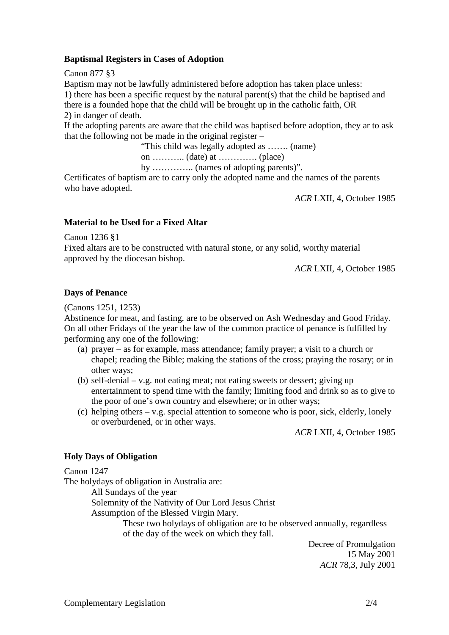# **Baptismal Registers in Cases of Adoption**

Canon 877 §3

Baptism may not be lawfully administered before adoption has taken place unless: 1) there has been a specific request by the natural parent(s) that the child be baptised and there is a founded hope that the child will be brought up in the catholic faith, OR

2) in danger of death.

If the adopting parents are aware that the child was baptised before adoption, they ar to ask that the following not be made in the original register –

"This child was legally adopted as ……. (name)

on ……….. (date) at …………. (place)

by ………….. (names of adopting parents)".

Certificates of baptism are to carry only the adopted name and the names of the parents who have adopted.

*ACR* LXII, 4, October 1985

#### **Material to be Used for a Fixed Altar**

Canon 1236 §1

Fixed altars are to be constructed with natural stone, or any solid, worthy material approved by the diocesan bishop.

*ACR* LXII, 4, October 1985

#### **Days of Penance**

(Canons 1251, 1253)

Abstinence for meat, and fasting, are to be observed on Ash Wednesday and Good Friday. On all other Fridays of the year the law of the common practice of penance is fulfilled by performing any one of the following:

- (a) prayer as for example, mass attendance; family prayer; a visit to a church or chapel; reading the Bible; making the stations of the cross; praying the rosary; or in other ways;
- (b) self-denial v.g. not eating meat; not eating sweets or dessert; giving up entertainment to spend time with the family; limiting food and drink so as to give to the poor of one's own country and elsewhere; or in other ways;
- (c) helping others v.g. special attention to someone who is poor, sick, elderly, lonely or overburdened, or in other ways.

*ACR* LXII, 4, October 1985

#### **Holy Days of Obligation**

Canon 1247

The holydays of obligation in Australia are:

All Sundays of the year

Solemnity of the Nativity of Our Lord Jesus Christ

Assumption of the Blessed Virgin Mary.

These two holydays of obligation are to be observed annually, regardless of the day of the week on which they fall.

> Decree of Promulgation 15 May 2001 *ACR* 78,3, July 2001